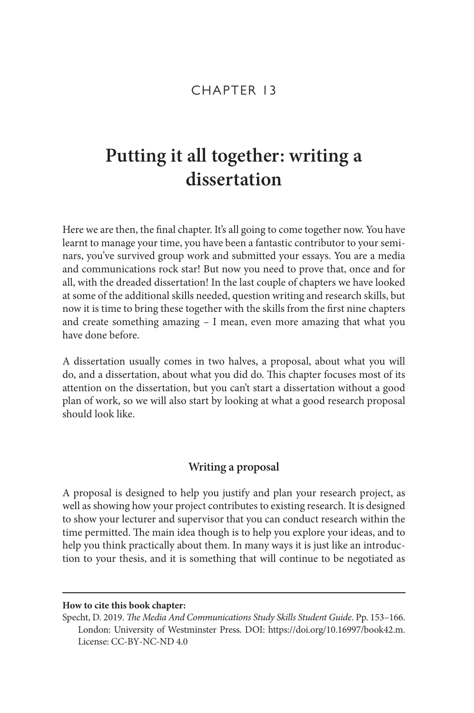### CHAPTER 13

# **Putting it all together: writing a dissertation**

Here we are then, the final chapter. It's all going to come together now. You have learnt to manage your time, you have been a fantastic contributor to your seminars, you've survived group work and submitted your essays. You are a media and communications rock star! But now you need to prove that, once and for all, with the dreaded dissertation! In the last couple of chapters we have looked at some of the additional skills needed, question writing and research skills, but now it is time to bring these together with the skills from the first nine chapters and create something amazing – I mean, even more amazing that what you have done before.

A dissertation usually comes in two halves, a proposal, about what you will do, and a dissertation, about what you did do. This chapter focuses most of its attention on the dissertation, but you can't start a dissertation without a good plan of work, so we will also start by looking at what a good research proposal should look like.

#### **Writing a proposal**

A proposal is designed to help you justify and plan your research project, as well as showing how your project contributes to existing research. It is designed to show your lecturer and supervisor that you can conduct research within the time permitted. The main idea though is to help you explore your ideas, and to help you think practically about them. In many ways it is just like an introduction to your thesis, and it is something that will continue to be negotiated as

#### **How to cite this book chapter:**

Specht, D. 2019. *The Media And Communications Study Skills Student Guide*. Pp. 153–166. London: University of Westminster Press. DOI: <https://doi.org/10.16997/book42.m>. License: CC‐BY‐NC‐ND 4.0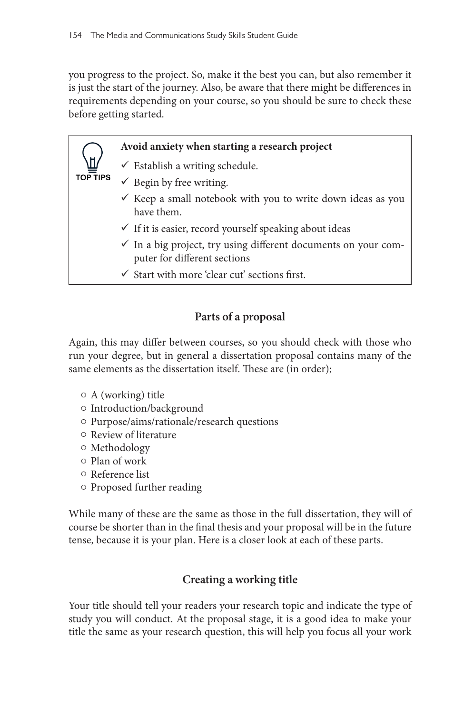you progress to the project. So, make it the best you can, but also remember it is just the start of the journey. Also, be aware that there might be differences in requirements depending on your course, so you should be sure to check these before getting started.

### **Avoid anxiety when starting a research project**

- $\checkmark$  Establish a writing schedule.
- $\checkmark\,$  Begin by free writing.
- $\checkmark$  Keep a small notebook with you to write down ideas as you have them.
- $\checkmark$  If it is easier, record yourself speaking about ideas
- $\checkmark$  In a big project, try using different documents on your computer for different sections
- $\checkmark$  Start with more 'clear cut' sections first.

### **Parts of a proposal**

Again, this may differ between courses, so you should check with those who run your degree, but in general a dissertation proposal contains many of the same elements as the dissertation itself. These are (in order);

 $\circ$  A (working) title

**TOP TIPS** 

- o Introduction/background
- $\circ$  Purpose/aims/rationale/research questions
- $\circ$  Review of literature
- $\circ$  Methodology
- { Plan of work
- { Reference list
- $\circ$  Proposed further reading

While many of these are the same as those in the full dissertation, they will of course be shorter than in the final thesis and your proposal will be in the future tense, because it is your plan. Here is a closer look at each of these parts.

### **Creating a working title**

Your title should tell your readers your research topic and indicate the type of study you will conduct. At the proposal stage, it is a good idea to make your title the same as your research question, this will help you focus all your work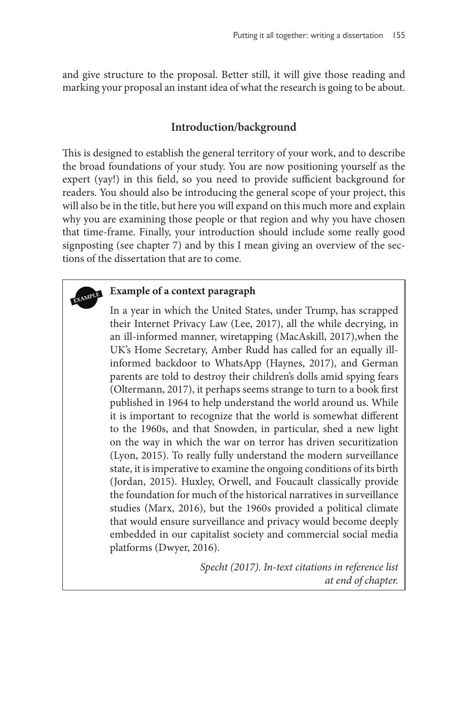and give structure to the proposal. Better still, it will give those reading and marking your proposal an instant idea of what the research is going to be about.

### **Introduction/background**

This is designed to establish the general territory of your work, and to describe the broad foundations of your study. You are now positioning yourself as the expert (yay!) in this field, so you need to provide sufficient background for readers. You should also be introducing the general scope of your project, this will also be in the title, but here you will expand on this much more and explain why you are examining those people or that region and why you have chosen that time-frame. Finally, your introduction should include some really good signposting (see chapter 7) and by this I mean giving an overview of the sections of the dissertation that are to come.

## **Example of a context paragraph**

In a year in which the United States, under Trump, has scrapped their Internet Privacy Law (Lee, 2017), all the while decrying, in an ill-informed manner, wiretapping (MacAskill, 2017),when the UK's Home Secretary, Amber Rudd has called for an equally illinformed backdoor to WhatsApp (Haynes, 2017), and German parents are told to destroy their children's dolls amid spying fears (Oltermann, 2017), it perhaps seems strange to turn to a book first published in 1964 to help understand the world around us. While it is important to recognize that the world is somewhat different to the 1960s, and that Snowden, in particular, shed a new light on the way in which the war on terror has driven securitization (Lyon, 2015). To really fully understand the modern surveillance state, it is imperative to examine the ongoing conditions of its birth (Jordan, 2015). Huxley, Orwell, and Foucault classically provide the foundation for much of the historical narratives in surveillance studies (Marx, 2016), but the 1960s provided a political climate that would ensure surveillance and privacy would become deeply embedded in our capitalist society and commercial social media platforms (Dwyer, 2016).

> *Specht (2017). In-text citations in reference list at end of chapter.*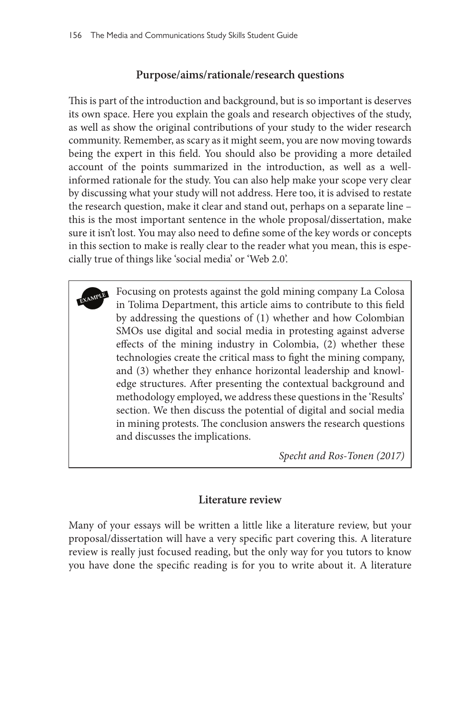### **Purpose/aims/rationale/research questions**

This is part of the introduction and background, but is so important is deserves its own space. Here you explain the goals and research objectives of the study, as well as show the original contributions of your study to the wider research community. Remember, as scary as it might seem, you are now moving towards being the expert in this field. You should also be providing a more detailed account of the points summarized in the introduction, as well as a wellinformed rationale for the study. You can also help make your scope very clear by discussing what your study will not address. Here too, it is advised to restate the research question, make it clear and stand out, perhaps on a separate line – this is the most important sentence in the whole proposal/dissertation, make sure it isn't lost. You may also need to define some of the key words or concepts in this section to make is really clear to the reader what you mean, this is especially true of things like 'social media' or 'Web 2.0'.

**EXAMPLE** Focusing on protests against the gold mining company La Colosa in Tolima Department, this article aims to contribute to this field by addressing the questions of (1) whether and how Colombian SMOs use digital and social media in protesting against adverse effects of the mining industry in Colombia, (2) whether these technologies create the critical mass to fight the mining company, and (3) whether they enhance horizontal leadership and knowledge structures. After presenting the contextual background and methodology employed, we address these questions in the 'Results' section. We then discuss the potential of digital and social media in mining protests. The conclusion answers the research questions and discusses the implications.

*Specht and Ros-Tonen (2017)*

### **Literature review**

Many of your essays will be written a little like a literature review, but your proposal/dissertation will have a very specific part covering this. A literature review is really just focused reading, but the only way for you tutors to know you have done the specific reading is for you to write about it. A literature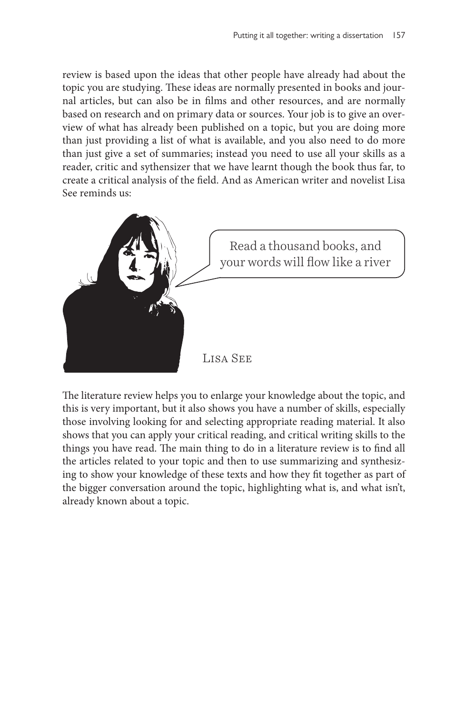review is based upon the ideas that other people have already had about the topic you are studying. These ideas are normally presented in books and journal articles, but can also be in films and other resources, and are normally based on research and on primary data or sources. Your job is to give an overview of what has already been published on a topic, but you are doing more than just providing a list of what is available, and you also need to do more than just give a set of summaries; instead you need to use all your skills as a reader, critic and sythensizer that we have learnt though the book thus far, to create a critical analysis of the field. And as American writer and novelist Lisa See reminds us:



The literature review helps you to enlarge your knowledge about the topic, and this is very important, but it also shows you have a number of skills, especially those involving looking for and selecting appropriate reading material. It also shows that you can apply your critical reading, and critical writing skills to the things you have read. The main thing to do in a literature review is to find all the articles related to your topic and then to use summarizing and synthesizing to show your knowledge of these texts and how they fit together as part of the bigger conversation around the topic, highlighting what is, and what isn't, already known about a topic.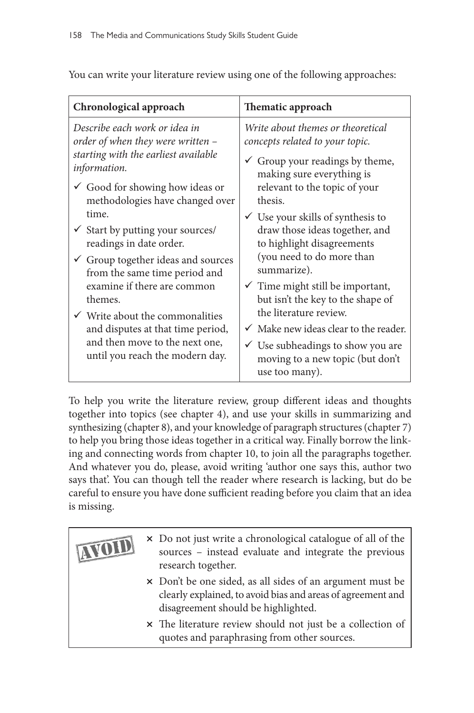| Chronological approach                                                                                                                                                                                                                                                                                                                                                                                                                                                                                                                                                             | Thematic approach                                                                                                                                                                                                                                                                                                                                                                                                                                                                                                                                                                                                               |  |
|------------------------------------------------------------------------------------------------------------------------------------------------------------------------------------------------------------------------------------------------------------------------------------------------------------------------------------------------------------------------------------------------------------------------------------------------------------------------------------------------------------------------------------------------------------------------------------|---------------------------------------------------------------------------------------------------------------------------------------------------------------------------------------------------------------------------------------------------------------------------------------------------------------------------------------------------------------------------------------------------------------------------------------------------------------------------------------------------------------------------------------------------------------------------------------------------------------------------------|--|
| Describe each work or idea in<br>order of when they were written -<br>starting with the earliest available<br>information.<br>$\checkmark$ Good for showing how ideas or<br>methodologies have changed over<br>time.<br>$\checkmark$ Start by putting your sources/<br>readings in date order.<br>$\checkmark$ Group together ideas and sources<br>from the same time period and<br>examine if there are common<br>themes.<br>$\checkmark$ Write about the commonalities<br>and disputes at that time period,<br>and then move to the next one,<br>until you reach the modern day. | Write about themes or theoretical<br>concepts related to your topic.<br>$\checkmark$ Group your readings by theme,<br>making sure everything is<br>relevant to the topic of your<br>thesis.<br>$\checkmark$ Use your skills of synthesis to<br>draw those ideas together, and<br>to highlight disagreements<br>(you need to do more than<br>summarize).<br>$\checkmark$ Time might still be important,<br>but isn't the key to the shape of<br>the literature review.<br>$\checkmark$ Make new ideas clear to the reader.<br>$\checkmark$ Use subheadings to show you are<br>moving to a new topic (but don't<br>use too many). |  |

You can write your literature review using one of the following approaches:

To help you write the literature review, group different ideas and thoughts together into topics (see chapter 4), and use your skills in summarizing and synthesizing (chapter 8), and your knowledge of paragraph structures (chapter 7) to help you bring those ideas together in a critical way. Finally borrow the linking and connecting words from chapter 10, to join all the paragraphs together. And whatever you do, please, avoid writing 'author one says this, author two says that'. You can though tell the reader where research is lacking, but do be careful to ensure you have done sufficient reading before you claim that an idea is missing.

| TTOID | × Do not just write a chronological catalogue of all of the<br>sources - instead evaluate and integrate the previous<br>research together.                      |
|-------|-----------------------------------------------------------------------------------------------------------------------------------------------------------------|
|       | × Don't be one sided, as all sides of an argument must be<br>clearly explained, to avoid bias and areas of agreement and<br>disagreement should be highlighted. |
|       | x The literature review should not just be a collection of<br>quotes and paraphrasing from other sources.                                                       |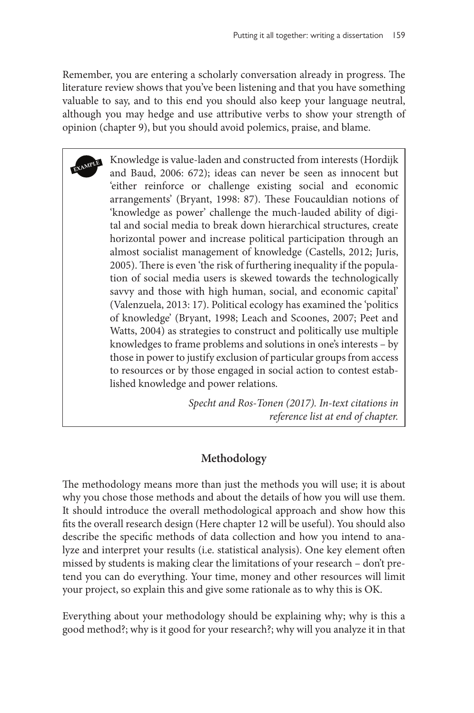Remember, you are entering a scholarly conversation already in progress. The literature review shows that you've been listening and that you have something valuable to say, and to this end you should also keep your language neutral, although you may hedge and use attributive verbs to show your strength of opinion (chapter 9), but you should avoid polemics, praise, and blame.

**EXAMPLE** Knowledge is value-laden and constructed from interests (Hordijk and Baud, 2006: 672); ideas can never be seen as innocent but 'either reinforce or challenge existing social and economic arrangements' (Bryant, 1998: 87). These Foucauldian notions of 'knowledge as power' challenge the much-lauded ability of digital and social media to break down hierarchical structures, create horizontal power and increase political participation through an almost socialist management of knowledge (Castells, 2012; Juris, 2005). There is even 'the risk of furthering inequality if the population of social media users is skewed towards the technologically savvy and those with high human, social, and economic capital' (Valenzuela, 2013: 17). Political ecology has examined the 'politics of knowledge' (Bryant, 1998; Leach and Scoones, 2007; Peet and Watts, 2004) as strategies to construct and politically use multiple knowledges to frame problems and solutions in one's interests – by those in power to justify exclusion of particular groups from access to resources or by those engaged in social action to contest established knowledge and power relations.

> *Specht and Ros-Tonen (2017). In-text citations in reference list at end of chapter.*

### **Methodology**

The methodology means more than just the methods you will use; it is about why you chose those methods and about the details of how you will use them. It should introduce the overall methodological approach and show how this fits the overall research design (Here chapter 12 will be useful). You should also describe the specific methods of data collection and how you intend to analyze and interpret your results (i.e. statistical analysis). One key element often missed by students is making clear the limitations of your research – don't pretend you can do everything. Your time, money and other resources will limit your project, so explain this and give some rationale as to why this is OK.

Everything about your methodology should be explaining why; why is this a good method?; why is it good for your research?; why will you analyze it in that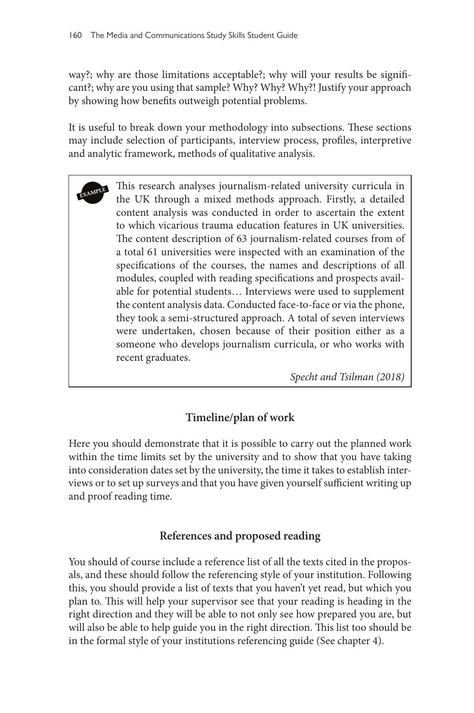way?; why are those limitations acceptable?; why will your results be significant?; why are you using that sample? Why? Why? Why?! Justify your approach by showing how benefits outweigh potential problems.

It is useful to break down your methodology into subsections. These sections may include selection of participants, interview process, profiles, interpretive and analytic framework, methods of qualitative analysis.

This research analyses journalism-related university curricula in the UK through a mixed methods approach. Firstly, a detailed content analysis was conducted in order to ascertain the extent to which vicarious trauma education features in UK universities. The content description of 63 journalism-related courses from of a total 61 universities were inspected with an examination of the specifications of the courses, the names and descriptions of all modules, coupled with reading specifications and prospects available for potential students… Interviews were used to supplement the content analysis data. Conducted face-to-face or via the phone, they took a semi-structured approach. A total of seven interviews were undertaken, chosen because of their position either as a someone who develops journalism curricula, or who works with recent graduates.

*Specht and Tsilman (2018)*

### **Timeline/plan of work**

Here you should demonstrate that it is possible to carry out the planned work within the time limits set by the university and to show that you have taking into consideration dates set by the university, the time it takes to establish interviews or to set up surveys and that you have given yourself sufficient writing up and proof reading time.

### **References and proposed reading**

You should of course include a reference list of all the texts cited in the proposals, and these should follow the referencing style of your institution. Following this, you should provide a list of texts that you haven't yet read, but which you plan to. This will help your supervisor see that your reading is heading in the right direction and they will be able to not only see how prepared you are, but will also be able to help guide you in the right direction. This list too should be in the formal style of your institutions referencing guide (See chapter 4).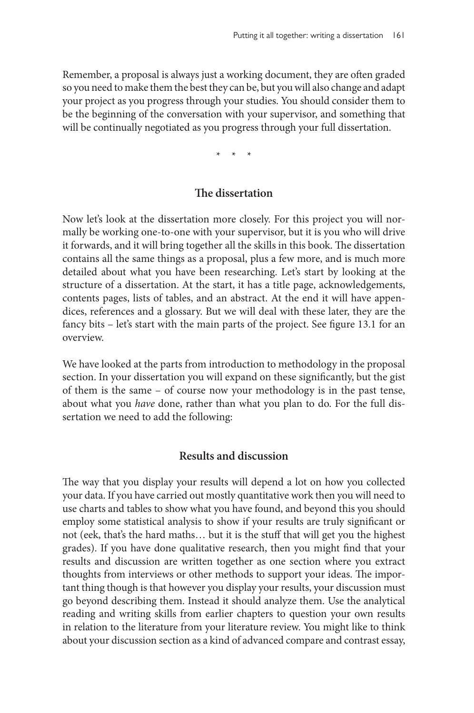Remember, a proposal is always just a working document, they are often graded so you need to make them the best they can be, but you will also change and adapt your project as you progress through your studies. You should consider them to be the beginning of the conversation with your supervisor, and something that will be continually negotiated as you progress through your full dissertation.

\* \* \*

#### **The dissertation**

Now let's look at the dissertation more closely. For this project you will normally be working one-to-one with your supervisor, but it is you who will drive it forwards, and it will bring together all the skills in this book. The dissertation contains all the same things as a proposal, plus a few more, and is much more detailed about what you have been researching. Let's start by looking at the structure of a dissertation. At the start, it has a title page, acknowledgements, contents pages, lists of tables, and an abstract. At the end it will have appendices, references and a glossary. But we will deal with these later, they are the fancy bits – let's start with the main parts of the project. See figure 13.1 for an overview.

We have looked at the parts from introduction to methodology in the proposal section. In your dissertation you will expand on these significantly, but the gist of them is the same – of course now your methodology is in the past tense, about what you *have* done, rather than what you plan to do. For the full dissertation we need to add the following:

#### **Results and discussion**

The way that you display your results will depend a lot on how you collected your data. If you have carried out mostly quantitative work then you will need to use charts and tables to show what you have found, and beyond this you should employ some statistical analysis to show if your results are truly significant or not (eek, that's the hard maths… but it is the stuff that will get you the highest grades). If you have done qualitative research, then you might find that your results and discussion are written together as one section where you extract thoughts from interviews or other methods to support your ideas. The important thing though is that however you display your results, your discussion must go beyond describing them. Instead it should analyze them. Use the analytical reading and writing skills from earlier chapters to question your own results in relation to the literature from your literature review. You might like to think about your discussion section as a kind of advanced compare and contrast essay,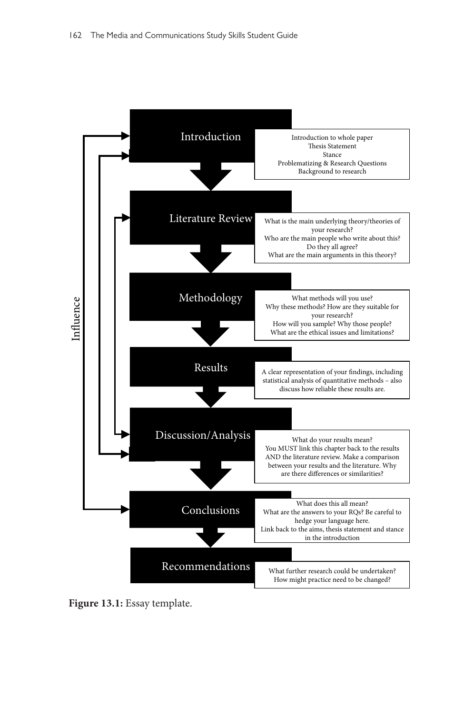

**Figure 13.1:** Essay template.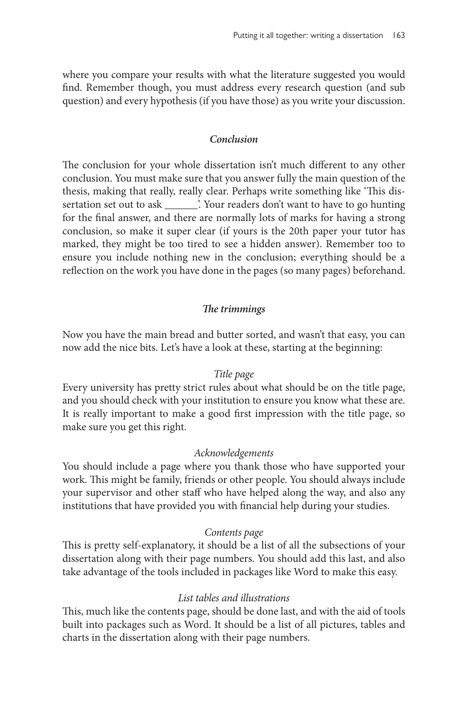where you compare your results with what the literature suggested you would find. Remember though, you must address every research question (and sub question) and every hypothesis (if you have those) as you write your discussion.

#### *Conclusion*

The conclusion for your whole dissertation isn't much different to any other conclusion. You must make sure that you answer fully the main question of the thesis, making that really, really clear. Perhaps write something like 'This dissertation set out to ask \_\_\_\_\_\_'. Your readers don't want to have to go hunting for the final answer, and there are normally lots of marks for having a strong conclusion, so make it super clear (if yours is the 20th paper your tutor has marked, they might be too tired to see a hidden answer). Remember too to ensure you include nothing new in the conclusion; everything should be a reflection on the work you have done in the pages (so many pages) beforehand.

#### *The trimmings*

Now you have the main bread and butter sorted, and wasn't that easy, you can now add the nice bits. Let's have a look at these, starting at the beginning:

#### *Title page*

Every university has pretty strict rules about what should be on the title page, and you should check with your institution to ensure you know what these are. It is really important to make a good first impression with the title page, so make sure you get this right.

#### *Acknowledgements*

You should include a page where you thank those who have supported your work. This might be family, friends or other people. You should always include your supervisor and other staff who have helped along the way, and also any institutions that have provided you with financial help during your studies.

#### *Contents page*

This is pretty self-explanatory, it should be a list of all the subsections of your dissertation along with their page numbers. You should add this last, and also take advantage of the tools included in packages like Word to make this easy.

#### *List tables and illustrations*

This, much like the contents page, should be done last, and with the aid of tools built into packages such as Word. It should be a list of all pictures, tables and charts in the dissertation along with their page numbers.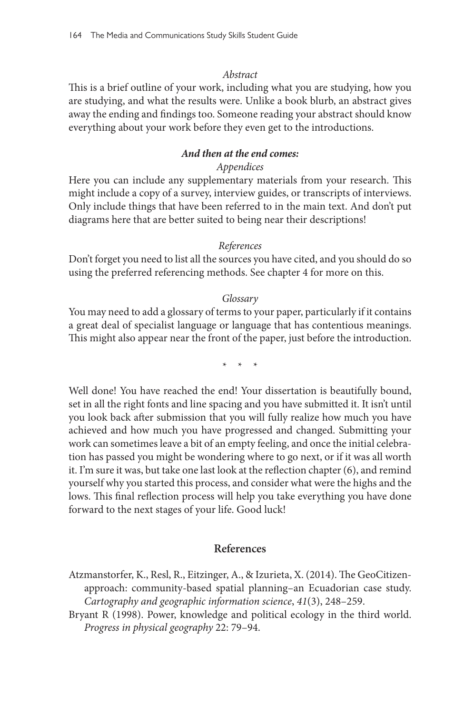#### *Abstract*

This is a brief outline of your work, including what you are studying, how you are studying, and what the results were. Unlike a book blurb, an abstract gives away the ending and findings too. Someone reading your abstract should know everything about your work before they even get to the introductions.

#### *And then at the end comes:*

### *Appendices*

Here you can include any supplementary materials from your research. This might include a copy of a survey, interview guides, or transcripts of interviews. Only include things that have been referred to in the main text. And don't put diagrams here that are better suited to being near their descriptions!

#### *References*

Don't forget you need to list all the sources you have cited, and you should do so using the preferred referencing methods. See chapter 4 for more on this.

#### *Glossary*

You may need to add a glossary of terms to your paper, particularly if it contains a great deal of specialist language or language that has contentious meanings. This might also appear near the front of the paper, just before the introduction.

 $*$  \*

Well done! You have reached the end! Your dissertation is beautifully bound, set in all the right fonts and line spacing and you have submitted it. It isn't until you look back after submission that you will fully realize how much you have achieved and how much you have progressed and changed. Submitting your work can sometimes leave a bit of an empty feeling, and once the initial celebration has passed you might be wondering where to go next, or if it was all worth it. I'm sure it was, but take one last look at the reflection chapter (6), and remind yourself why you started this process, and consider what were the highs and the lows. This final reflection process will help you take everything you have done forward to the next stages of your life. Good luck!

#### **References**

- Atzmanstorfer, K., Resl, R., Eitzinger, A., & Izurieta, X. (2014). The GeoCitizenapproach: community-based spatial planning–an Ecuadorian case study. *Cartography and geographic information science*, *41*(3), 248–259.
- Bryant R (1998). Power, knowledge and political ecology in the third world. *Progress in physical geography* 22: 79–94.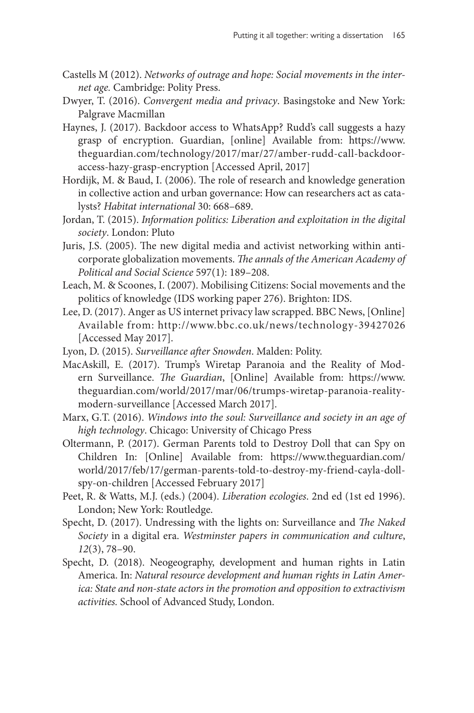- Castells M (2012). *Networks of outrage and hope: Social movements in the internet age.* Cambridge: Polity Press.
- Dwyer, T. (2016). *Convergent media and privacy*. Basingstoke and New York: Palgrave Macmillan
- Haynes, J. (2017). Backdoor access to WhatsApp? Rudd's call suggests a hazy grasp of encryption. Guardian, [online] Available from: [https://www.](https://www.theguardian.com/technology/2017/mar/27/amber-rudd-call-backdoor-access-hazy-grasp-encryption) [theguardian.com/technology/2017/mar/27/amber-rudd-call-backdoor](https://www.theguardian.com/technology/2017/mar/27/amber-rudd-call-backdoor-access-hazy-grasp-encryption)[access-hazy-grasp-encryption](https://www.theguardian.com/technology/2017/mar/27/amber-rudd-call-backdoor-access-hazy-grasp-encryption) [Accessed April, 2017]
- Hordijk, M. & Baud, I. (2006). The role of research and knowledge generation in collective action and urban governance: How can researchers act as catalysts? *Habitat international* 30: 668–689.
- Jordan, T. (2015). *Information politics: Liberation and exploitation in the digital society*. London: Pluto
- Juris, J.S. (2005). The new digital media and activist networking within anticorporate globalization movements. *The annals of the American Academy of Political and Social Science* 597(1): 189–208.
- Leach, M. & Scoones, I. (2007). Mobilising Citizens: Social movements and the politics of knowledge (IDS working paper 276). Brighton: IDS.
- Lee, D. (2017). Anger as US internet privacy law scrapped. BBC News, [Online] Available from: <http://www.bbc.co.uk/news/technology-39427026> [Accessed May 2017].
- Lyon, D. (2015). *Surveillance after Snowden*. Malden: Polity.
- MacAskill, E. (2017). Trump's Wiretap Paranoia and the Reality of Modern Surveillance. *The Guardian*, [Online] Available from: [https://www.](https://www.theguardian.com/world/2017/mar/06/trumps-wiretap-paranoia-reality-modern-surveillance) [theguardian.com/world/2017/mar/06/trumps-wiretap-paranoia-reality](https://www.theguardian.com/world/2017/mar/06/trumps-wiretap-paranoia-reality-modern-surveillance)[modern-surveillance](https://www.theguardian.com/world/2017/mar/06/trumps-wiretap-paranoia-reality-modern-surveillance) [Accessed March 2017].
- Marx, G.T. (2016). *Windows into the soul: Surveillance and society in an age of high technology*. Chicago: University of Chicago Press
- Oltermann, P. (2017). German Parents told to Destroy Doll that can Spy on Children In: [Online] Available from: [https://www.theguardian.com/](https://www.theguardian.com/world/2017/feb/17/german-parents-told-to-destroy-my-friend-cayla-doll-spy-on-children) [world/2017/feb/17/german-parents-told-to-destroy-my-friend-cayla-doll](https://www.theguardian.com/world/2017/feb/17/german-parents-told-to-destroy-my-friend-cayla-doll-spy-on-children)[spy-on-children](https://www.theguardian.com/world/2017/feb/17/german-parents-told-to-destroy-my-friend-cayla-doll-spy-on-children) [Accessed February 2017]
- Peet, R. & Watts, M.J. (eds.) (2004). *Liberation ecologies*. 2nd ed (1st ed 1996). London; New York: Routledge.
- Specht, D. (2017). Undressing with the lights on: Surveillance and *The Naked Society* in a digital era. *Westminster papers in communication and culture*, *12*(3), 78–90.
- Specht, D. (2018). Neogeography, development and human rights in Latin America. In: *Natural resource development and human rights in Latin America: State and non-state actors in the promotion and opposition to extractivism activities.* School of Advanced Study, London.